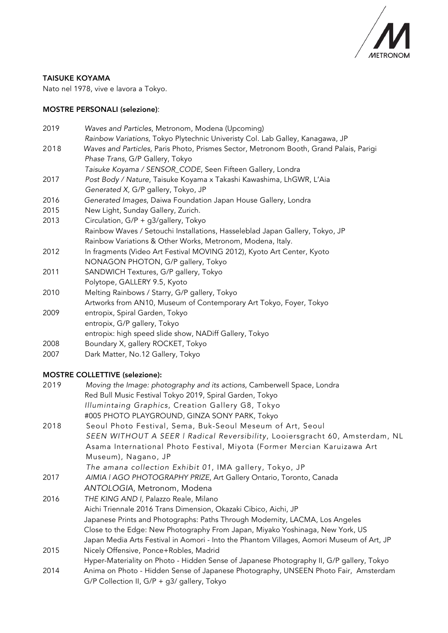

#### TAISUKE KOYAMA

Nato nel 1978, vive e lavora a Tokyo.

#### MOSTRE PERSONALI (selezione):

| 2019 | Waves and Particles, Metronom, Modena (Upcoming)                                       |
|------|----------------------------------------------------------------------------------------|
|      | Rainbow Variations, Tokyo Plytechnic Univeristy Col. Lab Galley, Kanagawa, JP          |
| 2018 | Waves and Particles, Paris Photo, Prismes Sector, Metronom Booth, Grand Palais, Parigi |
|      | Phase Trans, G/P Gallery, Tokyo                                                        |
|      | Taisuke Koyama / SENSOR_CODE, Seen Fifteen Gallery, Londra                             |
| 2017 | Post Body / Nature, Taisuke Koyama x Takashi Kawashima, LhGWR, L'Aia                   |
|      | Generated X, G/P gallery, Tokyo, JP                                                    |
| 2016 | Generated Images, Daiwa Foundation Japan House Gallery, Londra                         |
| 2015 | New Light, Sunday Gallery, Zurich.                                                     |
| 2013 | Circulation, G/P + g3/gallery, Tokyo                                                   |
|      | Rainbow Waves / Setouchi Installations, Hasseleblad Japan Gallery, Tokyo, JP           |
|      | Rainbow Variations & Other Works, Metronom, Modena, Italy.                             |
| 2012 | In fragments (Video Art Festival MOVING 2012), Kyoto Art Center, Kyoto                 |
|      | NONAGON PHOTON, G/P gallery, Tokyo                                                     |
| 2011 | SANDWICH Textures, G/P gallery, Tokyo                                                  |
|      | Polytope, GALLERY 9.5, Kyoto                                                           |
| 2010 | Melting Rainbows / Starry, G/P gallery, Tokyo                                          |
|      | Artworks from AN10, Museum of Contemporary Art Tokyo, Foyer, Tokyo                     |
| 2009 | entropix, Spiral Garden, Tokyo                                                         |
|      | entropix, G/P gallery, Tokyo                                                           |
|      | entropix: high speed slide show, NADiff Gallery, Tokyo                                 |
| 2008 | Boundary X, gallery ROCKET, Tokyo                                                      |

2007 Dark Matter, No.12 Gallery, Tokyo

# MOSTRE COLLETTIVE (selezione):

| 2019 | Moving the Image: photography and its actions, Camberwell Space, Londra                   |
|------|-------------------------------------------------------------------------------------------|
|      | Red Bull Music Festival Tokyo 2019, Spiral Garden, Tokyo                                  |
|      | Illumintaing Graphics, Creation Gallery G8, Tokyo                                         |
|      | #005 PHOTO PLAYGROUND, GINZA SONY PARK, Tokyo                                             |
| 2018 | Seoul Photo Festival, Sema, Buk-Seoul Meseum of Art, Seoul                                |
|      | SEEN WITHOUT A SEER   Radical Reversibility, Looiersgracht 60, Amsterdam, NL              |
|      | Asama International Photo Festival, Miyota (Former Mercian Karuizawa Art                  |
|      | Museum), Nagano, JP                                                                       |
|      | The amana collection Exhibit 01, IMA gallery, Tokyo, JP                                   |
| 2017 | AIMIA   AGO PHOTOGRAPHY PRIZE, Art Gallery Ontario, Toronto, Canada                       |
|      | ANTOLOGIA, Metronom, Modena                                                               |
| 2016 | THE KING AND I, Palazzo Reale, Milano                                                     |
|      | Aichi Triennale 2016 Trans Dimension, Okazaki Cibico, Aichi, JP                           |
|      | Japanese Prints and Photographs: Paths Through Modernity, LACMA, Los Angeles              |
|      | Close to the Edge: New Photography From Japan, Miyako Yoshinaga, New York, US             |
|      | Japan Media Arts Festival in Aomori - Into the Phantom Villages, Aomori Museum of Art, JP |
| 2015 | Nicely Offensive, Ponce+Robles, Madrid                                                    |
|      | Hyper-Materiality on Photo - Hidden Sense of Japanese Photography II, G/P gallery, Tokyo  |
| 2014 | Anima on Photo - Hidden Sense of Japanese Photography, UNSEEN Photo Fair, Amsterdam       |
|      | G/P Collection II, G/P + g3/ gallery, Tokyo                                               |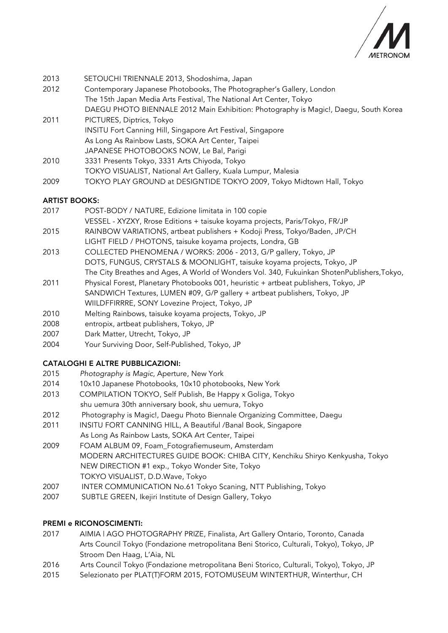

- 2013 SETOUCHI TRIENNALE 2013, Shodoshima, Japan 2012 Contemporary Japanese Photobooks, The Photographer's Gallery, London The 15th Japan Media Arts Festival, The National Art Center, Tokyo DAEGU PHOTO BIENNALE 2012 Main Exhibition: Photography is Magic!, Daegu, South Korea 2011 PICTURES, Diptrics, Tokyo
- INSITU Fort Canning Hill, Singapore Art Festival, Singapore As Long As Rainbow Lasts, SOKA Art Center, Taipei JAPANESE PHOTOBOOKS NOW, Le Bal, Parigi
- 2010 3331 Presents Tokyo, 3331 Arts Chiyoda, Tokyo TOKYO VISUALIST, National Art Gallery, Kuala Lumpur, Malesia
- 2009 TOKYO PLAY GROUND at DESIGNTIDE TOKYO 2009, Tokyo Midtown Hall, Tokyo

## ARTIST BOOKS:

- 2017 POST-BODY / NATURE, Edizione limitata in 100 copie
- VESSEL XYZXY, Rrose Editions + taisuke koyama projects, Paris/Tokyo, FR/JP
- 2015 RAINBOW VARIATIONS, artbeat publishers + Kodoji Press, Tokyo/Baden, JP/CH LIGHT FIELD / PHOTONS, taisuke koyama projects, Londra, GB
- 2013 COLLECTED PHENOMENA / WORKS: 2006 2013, G/P gallery, Tokyo, JP DOTS, FUNGUS, CRYSTALS & MOONLIGHT, taisuke koyama projects, Tokyo, JP The City Breathes and Ages, A World of Wonders Vol. 340, Fukuinkan ShotenPublishers,Tokyo,
- 2011 Physical Forest, Planetary Photobooks 001, heuristic + artbeat publishers, Tokyo, JP SANDWICH Textures, LUMEN #09, G/P gallery + artbeat publishers, Tokyo, JP WIILDFFIRRRE, SONY Lovezine Project, Tokyo, JP
- 2010 Melting Rainbows, taisuke koyama projects, Tokyo, JP
- 2008 entropix, artbeat publishers, Tokyo, JP
- 2007 Dark Matter, Utrecht, Tokyo, JP
- 2004 Your Surviving Door, Self-Published, Tokyo, JP

## CATALOGHI E ALTRE PUBBLICAZIONI:

- 2015 *Photography is Magic*, Aperture, New York
- 2014 10x10 Japanese Photobooks, 10x10 photobooks, New York
- 2013 COMPILATION TOKYO, Self Publish, Be Happy x Goliga, Tokyo shu uemura 30th anniversary book, shu uemura, Tokyo
- 2012 Photography is Magic!, Daegu Photo Biennale Organizing Committee, Daegu
- 2011 INSITU FORT CANNING HILL, A Beautiful /Banal Book, Singapore As Long As Rainbow Lasts, SOKA Art Center, Taipei
- 2009 FOAM ALBUM 09, Foam\_Fotografiemuseum, Amsterdam MODERN ARCHITECTURES GUIDE BOOK: CHIBA CITY, Kenchiku Shiryo Kenkyusha, Tokyo NEW DIRECTION #1 exp., Tokyo Wonder Site, Tokyo TOKYO VISUALIST, D.D.Wave, Tokyo
- 2007 INTER COMMUNICATION No.61 Tokyo Scaning, NTT Publishing, Tokyo
- 2007 SUBTLE GREEN, Ikejiri Institute of Design Gallery, Tokyo

## PREMI e RICONOSCIMENTI:

- 2017 AIMIA | AGO PHOTOGRAPHY PRIZE, Finalista, Art Gallery Ontario, Toronto, Canada Arts Council Tokyo (Fondazione metropolitana Beni Storico, Culturali, Tokyo), Tokyo, JP Stroom Den Haag, L'Aia, NL
- 2016 Arts Council Tokyo (Fondazione metropolitana Beni Storico, Culturali, Tokyo), Tokyo, JP
- 2015 Selezionato per PLAT(T)FORM 2015, FOTOMUSEUM WINTERTHUR, Winterthur, CH